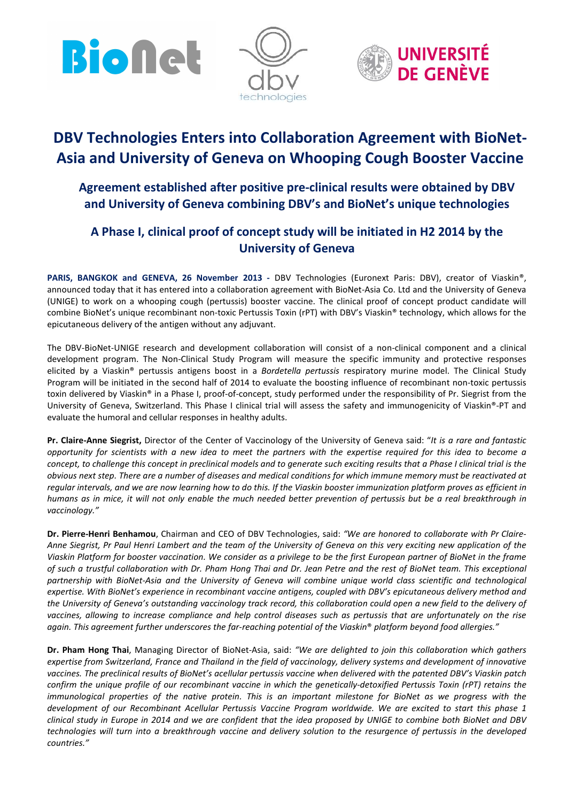





# DBV Technologies Enters into Collaboration Agreement with BioNet-Asia and University of Geneva on Whooping Cough Booster Vaccine

# Agreement established after positive pre-clinical results were obtained by DBV and University of Geneva combining DBV's and BioNet's unique technologies

# A Phase I, clinical proof of concept study will be initiated in H2 2014 by the University of Geneva

PARIS, BANGKOK and GENEVA, 26 November 2013 - DBV Technologies (Euronext Paris: DBV), creator of Viaskin®, announced today that it has entered into a collaboration agreement with BioNet-Asia Co. Ltd and the University of Geneva (UNIGE) to work on a whooping cough (pertussis) booster vaccine. The clinical proof of concept product candidate will combine BioNet's unique recombinant non-toxic Pertussis Toxin (rPT) with DBV's Viaskin® technology, which allows for the epicutaneous delivery of the antigen without any adjuvant.

The DBV-BioNet-UNIGE research and development collaboration will consist of a non-clinical component and a clinical development program. The Non-Clinical Study Program will measure the specific immunity and protective responses elicited by a Viaskin® pertussis antigens boost in a *Bordetella pertussis* respiratory murine model. The Clinical Study Program will be initiated in the second half of 2014 to evaluate the boosting influence of recombinant non-toxic pertussis toxin delivered by Viaskin® in a Phase I, proof-of-concept, study performed under the responsibility of Pr. Siegrist from the University of Geneva, Switzerland. This Phase I clinical trial will assess the safety and immunogenicity of Viaskin®-PT and evaluate the humoral and cellular responses in healthy adults.

Pr. Claire-Anne Siegrist, Director of the Center of Vaccinology of the University of Geneva said: "*It is a rare and fantastic opportunity for scientists with a new idea to meet the partners with the expertise required for this idea to become a concept, to challenge this concept in preclinical models and to generate such exciting results that a Phase I clinical trial is the obvious next step. There are a number of diseases and medical conditions for which immune memory must be reactivated at regular intervals, and we are now learning how to do this. If the Viaskin booster immunization platform proves as efficient in humans as in mice, it will not only enable the much needed better prevention of pertussis but be a real breakthrough in vaccinology."* 

Dr. Pierre-Henri Benhamou, Chairman and CEO of DBV Technologies, said: *"We are honored to collaborate with Pr Claire-Anne Siegrist, Pr Paul Henri Lambert and the team of the University of Geneva on this very exciting new application of the Viaskin Platform for booster vaccination. We consider as a privilege to be the first European partner of BioNet in the frame of such a trustful collaboration with Dr. Pham Hong Thai and Dr. Jean Petre and the rest of BioNet team. This exceptional partnership with BioNet-Asia and the University of Geneva will combine unique world class scientific and technological expertise. With BioNet's experience in recombinant vaccine antigens, coupled with DBV's epicutaneous delivery method and the University of Geneva's outstanding vaccinology track record, this collaboration could open a new field to the delivery of vaccines, allowing to increase compliance and help control diseases such as pertussis that are unfortunately on the rise again. This agreement further underscores the far-reaching potential of the Viaskin*® *platform beyond food allergies."* 

Dr. Pham Hong Thai, Managing Director of BioNet-Asia, said: *"We are delighted to join this collaboration which gathers expertise from Switzerland, France and Thailand in the field of vaccinology, delivery systems and development of innovative vaccines. The preclinical results of BioNet's acellular pertussis vaccine when delivered with the patented DBV's Viaskin patch confirm the unique profile of our recombinant vaccine in which the genetically-detoxified Pertussis Toxin (rPT) retains the immunological properties of the native protein. This is an important milestone for BioNet as we progress with the development of our Recombinant Acellular Pertussis Vaccine Program worldwide. We are excited to start this phase 1 clinical study in Europe in 2014 and we are confident that the idea proposed by UNIGE to combine both BioNet and DBV technologies will turn into a breakthrough vaccine and delivery solution to the resurgence of pertussis in the developed countries."*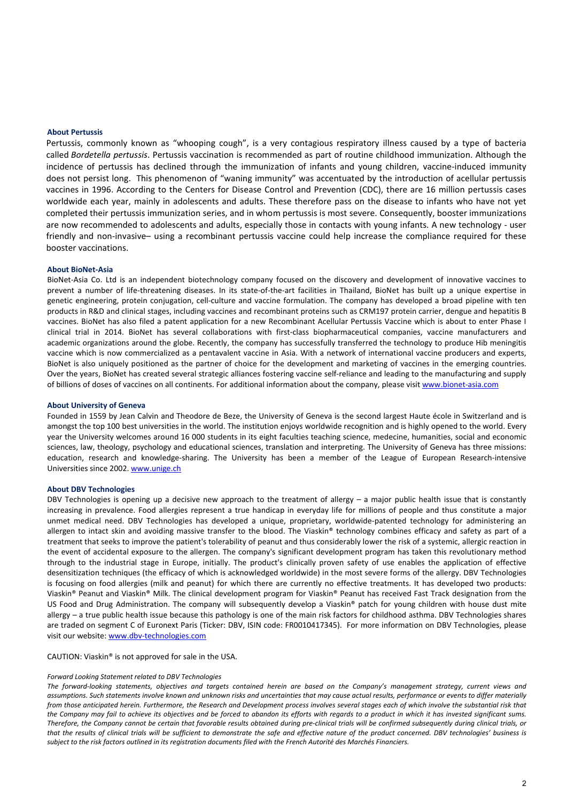#### About Pertussis

Pertussis, commonly known as "whooping cough", is a very contagious respiratory illness caused by a type of bacteria called *Bordetella pertussis*. Pertussis vaccination is recommended as part of routine childhood immunization. Although the incidence of pertussis has declined through the immunization of infants and young children, vaccine-induced immunity does not persist long. This phenomenon of "waning immunity" was accentuated by the introduction of acellular pertussis vaccines in 1996. According to the Centers for Disease Control and Prevention (CDC), there are 16 million pertussis cases worldwide each year, mainly in adolescents and adults. These therefore pass on the disease to infants who have not yet completed their pertussis immunization series, and in whom pertussis is most severe. Consequently, booster immunizations are now recommended to adolescents and adults, especially those in contacts with young infants. A new technology - user friendly and non-invasive– using a recombinant pertussis vaccine could help increase the compliance required for these booster vaccinations.

#### About BioNet-Asia

BioNet-Asia Co. Ltd is an independent biotechnology company focused on the discovery and development of innovative vaccines to prevent a number of life-threatening diseases. In its state-of-the-art facilities in Thailand, BioNet has built up a unique expertise in genetic engineering, protein conjugation, cell-culture and vaccine formulation. The company has developed a broad pipeline with ten products in R&D and clinical stages, including vaccines and recombinant proteins such as CRM197 protein carrier, dengue and hepatitis B vaccines. BioNet has also filed a patent application for a new Recombinant Acellular Pertussis Vaccine which is about to enter Phase I clinical trial in 2014. BioNet has several collaborations with first-class biopharmaceutical companies, vaccine manufacturers and academic organizations around the globe. Recently, the company has successfully transferred the technology to produce Hib meningitis vaccine which is now commercialized as a pentavalent vaccine in Asia. With a network of international vaccine producers and experts, BioNet is also uniquely positioned as the partner of choice for the development and marketing of vaccines in the emerging countries. Over the years, BioNet has created several strategic alliances fostering vaccine self-reliance and leading to the manufacturing and supply of billions of doses of vaccines on all continents. For additional information about the company, please visit www.bionet-asia.com

#### About University of Geneva

Founded in 1559 by Jean Calvin and Theodore de Beze, the University of Geneva is the second largest Haute école in Switzerland and is amongst the top 100 best universities in the world. The institution enjoys worldwide recognition and is highly opened to the world. Every year the University welcomes around 16 000 students in its eight faculties teaching science, medecine, humanities, social and economic sciences, law, theology, psychology and educational sciences, translation and interpreting. The University of Geneva has three missions: education, research and knowledge-sharing. The University has been a member of the League of European Research-intensive Universities since 2002. www.unige.ch

#### About DBV Technologies

DBV Technologies is opening up a decisive new approach to the treatment of allergy – a major public health issue that is constantly increasing in prevalence. Food allergies represent a true handicap in everyday life for millions of people and thus constitute a major unmet medical need. DBV Technologies has developed a unique, proprietary, worldwide-patented technology for administering an allergen to intact skin and avoiding massive transfer to the blood. The Viaskin® technology combines efficacy and safety as part of a treatment that seeks to improve the patient's tolerability of peanut and thus considerably lower the risk of a systemic, allergic reaction in the event of accidental exposure to the allergen. The company's significant development program has taken this revolutionary method through to the industrial stage in Europe, initially. The product's clinically proven safety of use enables the application of effective desensitization techniques (the efficacy of which is acknowledged worldwide) in the most severe forms of the allergy. DBV Technologies is focusing on food allergies (milk and peanut) for which there are currently no effective treatments. It has developed two products: Viaskin® Peanut and Viaskin® Milk. The clinical development program for Viaskin® Peanut has received Fast Track designation from the US Food and Drug Administration. The company will subsequently develop a Viaskin® patch for young children with house dust mite allergy – a true public health issue because this pathology is one of the main risk factors for childhood asthma. DBV Technologies shares are traded on segment C of Euronext Paris (Ticker: DBV, ISIN code: FR0010417345). For more information on DBV Technologies, please visit our website: www.dbv-technologies.com

#### CAUTION: Viaskin® is not approved for sale in the USA.

#### *Forward Looking Statement related to DBV Technologies*

*The forward-looking statements, objectives and targets contained herein are based on the Company's management strategy, current views and assumptions. Such statements involve known and unknown risks and uncertainties that may cause actual results, performance or events to differ materially from those anticipated herein. Furthermore, the Research and Development process involves several stages each of which involve the substantial risk that*  the Company may fail to achieve its objectives and be forced to abandon its efforts with regards to a product in which it has invested significant sums. *Therefore, the Company cannot be certain that favorable results obtained during pre-clinical trials will be confirmed subsequently during clinical trials, or that the results of clinical trials will be sufficient to demonstrate the safe and effective nature of the product concerned. DBV technologies' business is subject to the risk factors outlined in its registration documents filed with the French Autorité des Marchés Financiers.*